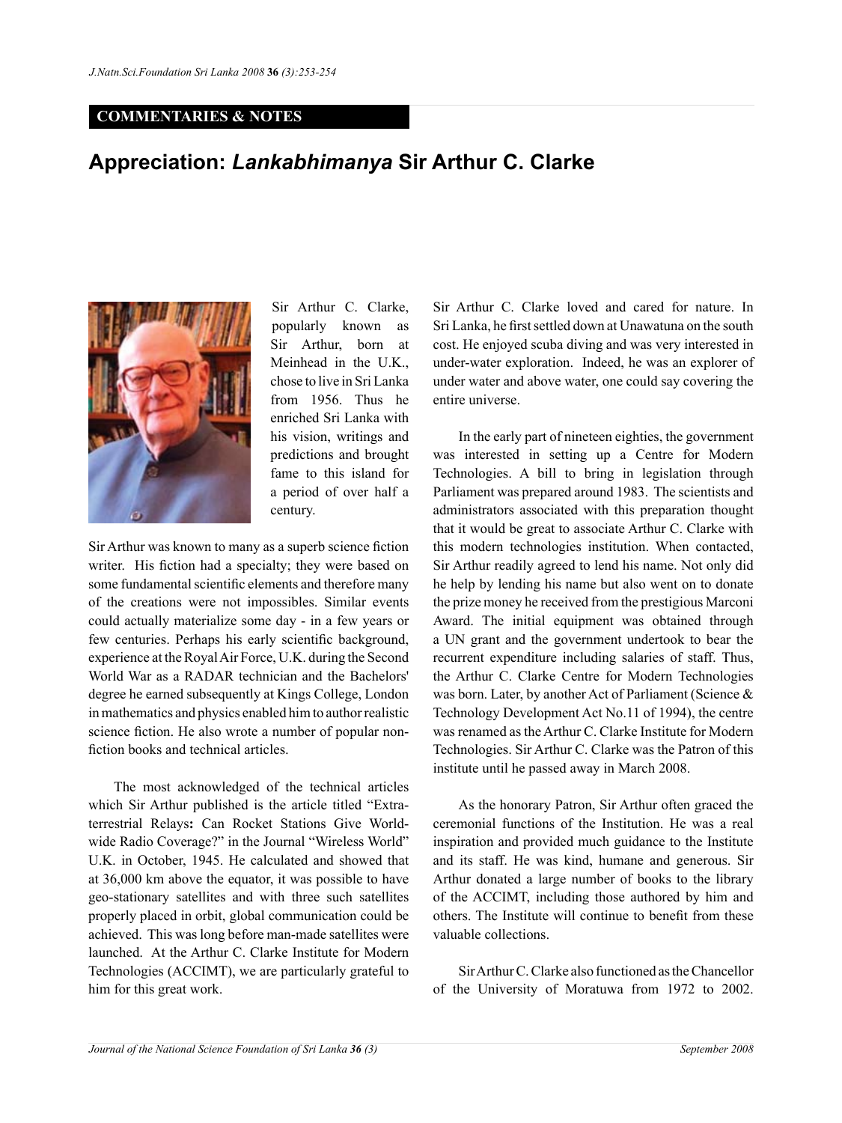## **COMMENTARIES & NOTES**

## **Appreciation:** *Lankabhimanya* **Sir Arthur C. Clarke**



Sir Arthur C. Clarke, popularly known as Sir Arthur, born at Meinhead in the U.K., chose to live in Sri Lanka from 1956. Thus he enriched Sri Lanka with his vision, writings and predictions and brought fame to this island for a period of over half a century.

Sir Arthur was known to many as a superb science fiction writer. His fiction had a specialty; they were based on some fundamental scientific elements and therefore many of the creations were not impossibles. Similar events could actually materialize some day - in a few years or few centuries. Perhaps his early scientific background, experience at the Royal Air Force, U.K. during the Second World War as a RADAR technician and the Bachelors' degree he earned subsequently at Kings College, London in mathematics and physics enabled him to author realistic science fiction. He also wrote a number of popular nonfiction books and technical articles.

The most acknowledged of the technical articles which Sir Arthur published is the article titled "Extraterrestrial Relays**:** Can Rocket Stations Give Worldwide Radio Coverage?" in the Journal "Wireless World" U.K. in October, 1945. He calculated and showed that at 36,000 km above the equator, it was possible to have geo-stationary satellites and with three such satellites properly placed in orbit, global communication could be achieved. This was long before man-made satellites were launched. At the Arthur C. Clarke Institute for Modern Technologies (ACCIMT), we are particularly grateful to him for this great work.

Sir Arthur C. Clarke loved and cared for nature. In Sri Lanka, he first settled down at Unawatuna on the south cost. He enjoyed scuba diving and was very interested in under-water exploration. Indeed, he was an explorer of under water and above water, one could say covering the entire universe.

In the early part of nineteen eighties, the government was interested in setting up a Centre for Modern Technologies. A bill to bring in legislation through Parliament was prepared around 1983. The scientists and administrators associated with this preparation thought that it would be great to associate Arthur C. Clarke with this modern technologies institution. When contacted, Sir Arthur readily agreed to lend his name. Not only did he help by lending his name but also went on to donate the prize money he received from the prestigious Marconi Award. The initial equipment was obtained through a UN grant and the government undertook to bear the recurrent expenditure including salaries of staff. Thus, the Arthur C. Clarke Centre for Modern Technologies was born. Later, by another Act of Parliament (Science & Technology Development Act No.11 of 1994), the centre was renamed as the Arthur C. Clarke Institute for Modern Technologies. Sir Arthur C. Clarke was the Patron of this institute until he passed away in March 2008.

As the honorary Patron, Sir Arthur often graced the ceremonial functions of the Institution. He was a real inspiration and provided much guidance to the Institute and its staff. He was kind, humane and generous. Sir Arthur donated a large number of books to the library of the ACCIMT, including those authored by him and others. The Institute will continue to benefit from these valuable collections.

Sir Arthur C. Clarke also functioned as the Chancellor of the University of Moratuwa from 1972 to 2002.